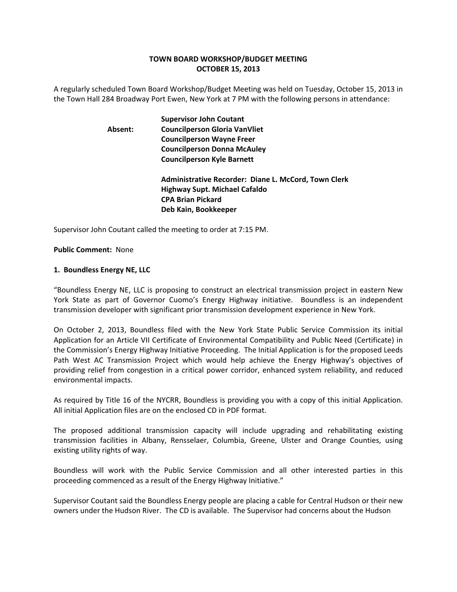# **TOWN BOARD WORKSHOP/BUDGET MEETING OCTOBER 15, 2013**

A regularly scheduled Town Board Workshop/Budget Meeting was held on Tuesday, October 15, 2013 in the Town Hall 284 Broadway Port Ewen, New York at 7 PM with the following persons in attendance:

# **Supervisor John Coutant Absent: Councilperson Gloria VanVliet Councilperson Wayne Freer Councilperson Donna McAuley Councilperson Kyle Barnett Administrative Recorder: Diane L. McCord, Town Clerk Highway Supt. Michael Cafaldo CPA Brian Pickard Deb Kain, Bookkeeper**

Supervisor John Coutant called the meeting to order at 7:15 PM.

#### **Public Comment:** None

#### **1. Boundless Energy NE, LLC**

"Boundless Energy NE, LLC is proposing to construct an electrical transmission project in eastern New York State as part of Governor Cuomo's Energy Highway initiative. Boundless is an independent transmission developer with significant prior transmission development experience in New York.

On October 2, 2013, Boundless filed with the New York State Public Service Commission its initial Application for an Article VII Certificate of Environmental Compatibility and Public Need (Certificate) in the Commission's Energy Highway Initiative Proceeding. The Initial Application is for the proposed Leeds Path West AC Transmission Project which would help achieve the Energy Highway's objectives of providing relief from congestion in a critical power corridor, enhanced system reliability, and reduced environmental impacts.

As required by Title 16 of the NYCRR, Boundless is providing you with a copy of this initial Application. All initial Application files are on the enclosed CD in PDF format.

The proposed additional transmission capacity will include upgrading and rehabilitating existing transmission facilities in Albany, Rensselaer, Columbia, Greene, Ulster and Orange Counties, using existing utility rights of way.

Boundless will work with the Public Service Commission and all other interested parties in this proceeding commenced as a result of the Energy Highway Initiative."

Supervisor Coutant said the Boundless Energy people are placing a cable for Central Hudson or their new owners under the Hudson River. The CD is available. The Supervisor had concerns about the Hudson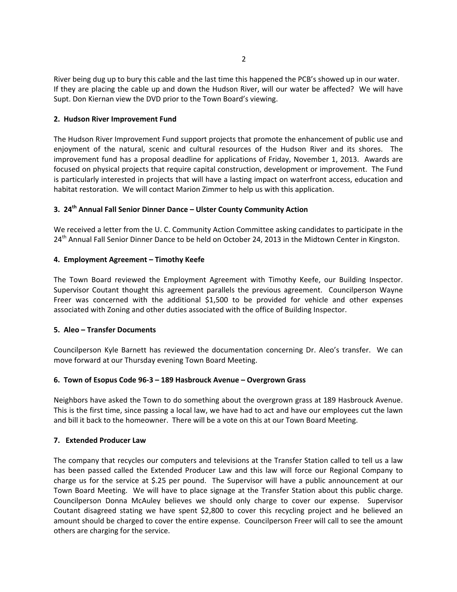River being dug up to bury this cable and the last time this happened the PCB's showed up in our water. If they are placing the cable up and down the Hudson River, will our water be affected? We will have Supt. Don Kiernan view the DVD prior to the Town Board's viewing.

## **2. Hudson River Improvement Fund**

The Hudson River Improvement Fund support projects that promote the enhancement of public use and enjoyment of the natural, scenic and cultural resources of the Hudson River and its shores. The improvement fund has a proposal deadline for applications of Friday, November 1, 2013. Awards are focused on physical projects that require capital construction, development or improvement. The Fund is particularly interested in projects that will have a lasting impact on waterfront access, education and habitat restoration. We will contact Marion Zimmer to help us with this application.

# **3. 24th Annual Fall Senior Dinner Dance – Ulster County Community Action**

We received a letter from the U. C. Community Action Committee asking candidates to participate in the 24<sup>th</sup> Annual Fall Senior Dinner Dance to be held on October 24, 2013 in the Midtown Center in Kingston.

# **4. Employment Agreement – Timothy Keefe**

The Town Board reviewed the Employment Agreement with Timothy Keefe, our Building Inspector. Supervisor Coutant thought this agreement parallels the previous agreement. Councilperson Wayne Freer was concerned with the additional \$1,500 to be provided for vehicle and other expenses associated with Zoning and other duties associated with the office of Building Inspector.

## **5. Aleo – Transfer Documents**

Councilperson Kyle Barnett has reviewed the documentation concerning Dr. Aleo's transfer. We can move forward at our Thursday evening Town Board Meeting.

## **6. Town of Esopus Code 96‐3 – 189 Hasbrouck Avenue – Overgrown Grass**

Neighbors have asked the Town to do something about the overgrown grass at 189 Hasbrouck Avenue. This is the first time, since passing a local law, we have had to act and have our employees cut the lawn and bill it back to the homeowner. There will be a vote on this at our Town Board Meeting.

## **7. Extended Producer Law**

The company that recycles our computers and televisions at the Transfer Station called to tell us a law has been passed called the Extended Producer Law and this law will force our Regional Company to charge us for the service at \$.25 per pound. The Supervisor will have a public announcement at our Town Board Meeting. We will have to place signage at the Transfer Station about this public charge. Councilperson Donna McAuley believes we should only charge to cover our expense. Supervisor Coutant disagreed stating we have spent \$2,800 to cover this recycling project and he believed an amount should be charged to cover the entire expense. Councilperson Freer will call to see the amount others are charging for the service.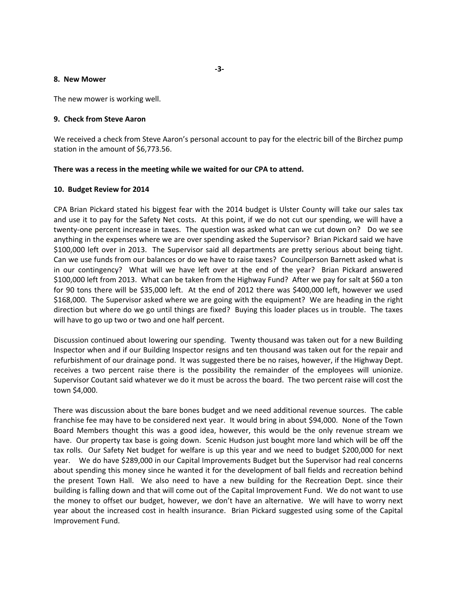#### **8. New Mower**

The new mower is working well.

#### **9. Check from Steve Aaron**

We received a check from Steve Aaron's personal account to pay for the electric bill of the Birchez pump station in the amount of \$6,773.56.

#### **There was a recess in the meeting while we waited for our CPA to attend.**

#### **10. Budget Review for 2014**

CPA Brian Pickard stated his biggest fear with the 2014 budget is Ulster County will take our sales tax and use it to pay for the Safety Net costs. At this point, if we do not cut our spending, we will have a twenty-one percent increase in taxes. The question was asked what can we cut down on? Do we see anything in the expenses where we are over spending asked the Supervisor? Brian Pickard said we have \$100,000 left over in 2013. The Supervisor said all departments are pretty serious about being tight. Can we use funds from our balances or do we have to raise taxes? Councilperson Barnett asked what is in our contingency? What will we have left over at the end of the year? Brian Pickard answered \$100,000 left from 2013. What can be taken from the Highway Fund? After we pay for salt at \$60 a ton for 90 tons there will be \$35,000 left. At the end of 2012 there was \$400,000 left, however we used \$168,000. The Supervisor asked where we are going with the equipment? We are heading in the right direction but where do we go until things are fixed? Buying this loader places us in trouble. The taxes will have to go up two or two and one half percent.

Discussion continued about lowering our spending. Twenty thousand was taken out for a new Building Inspector when and if our Building Inspector resigns and ten thousand was taken out for the repair and refurbishment of our drainage pond. It was suggested there be no raises, however, if the Highway Dept. receives a two percent raise there is the possibility the remainder of the employees will unionize. Supervisor Coutant said whatever we do it must be across the board. The two percent raise will cost the town \$4,000.

There was discussion about the bare bones budget and we need additional revenue sources. The cable franchise fee may have to be considered next year. It would bring in about \$94,000. None of the Town Board Members thought this was a good idea, however, this would be the only revenue stream we have. Our property tax base is going down. Scenic Hudson just bought more land which will be off the tax rolls. Our Safety Net budget for welfare is up this year and we need to budget \$200,000 for next year. We do have \$289,000 in our Capital Improvements Budget but the Supervisor had real concerns about spending this money since he wanted it for the development of ball fields and recreation behind the present Town Hall. We also need to have a new building for the Recreation Dept. since their building is falling down and that will come out of the Capital Improvement Fund. We do not want to use the money to offset our budget, however, we don't have an alternative. We will have to worry next year about the increased cost in health insurance. Brian Pickard suggested using some of the Capital Improvement Fund.